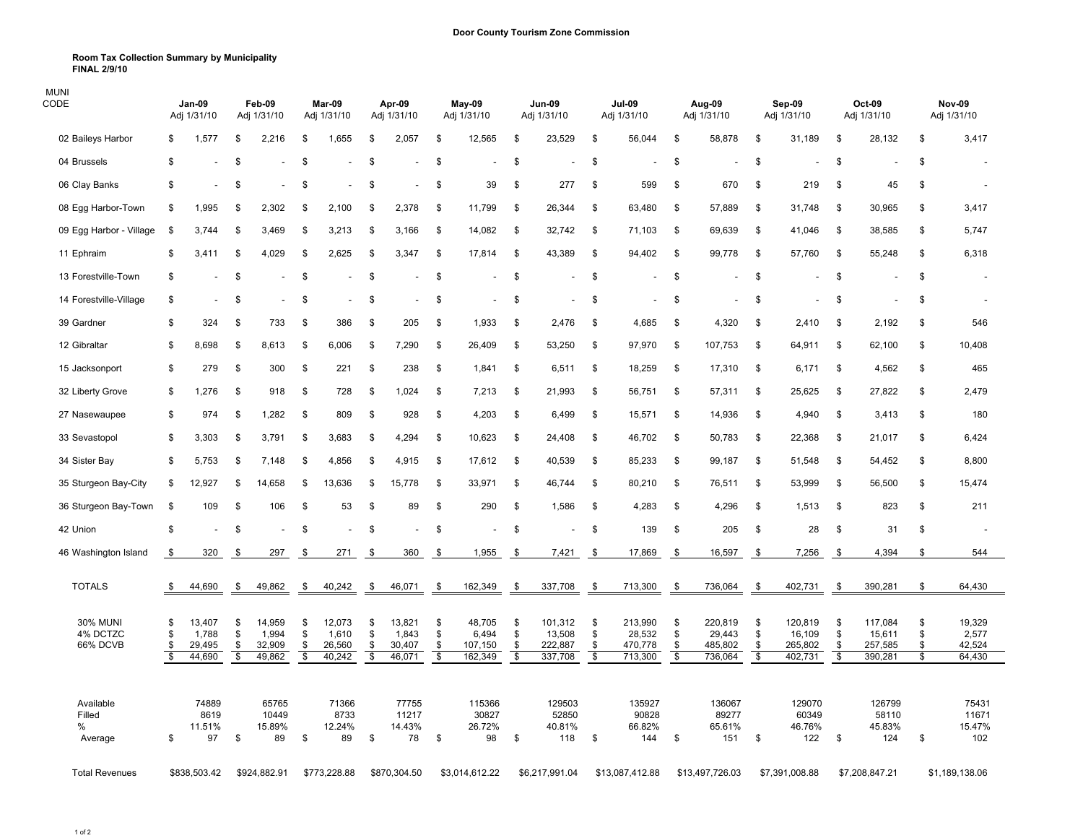## **Room Tax Collection Summary by Municipality FINAL 2/9/10**

| MUNI<br>CODE                            |                                           | <b>Jan-09</b><br>Adj 1/31/10        |                      | Feb-09<br>Adj 1/31/10               |                                           | Mar-09<br>Adj 1/31/10               |                      | Apr-09<br>Adj 1/31/10               |                      | May-09<br>Adj 1/31/10                  |                                           | <b>Jun-09</b><br>Adj 1/31/10            |                                            | <b>Jul-09</b><br>Adj 1/31/10            |                      | Aug-09<br>Adj 1/31/10                   |                      | Sep-09<br>Adj 1/31/10                   |                                            | Oct-09<br>Adj 1/31/10                   |                      | <b>Nov-09</b><br>Adj 1/31/10        |
|-----------------------------------------|-------------------------------------------|-------------------------------------|----------------------|-------------------------------------|-------------------------------------------|-------------------------------------|----------------------|-------------------------------------|----------------------|----------------------------------------|-------------------------------------------|-----------------------------------------|--------------------------------------------|-----------------------------------------|----------------------|-----------------------------------------|----------------------|-----------------------------------------|--------------------------------------------|-----------------------------------------|----------------------|-------------------------------------|
| 02 Baileys Harbor                       | \$.                                       | 1,577                               | \$                   | 2,216                               | \$                                        | 1,655                               | \$                   | 2,057                               | \$                   | 12,565                                 | \$                                        | 23,529                                  | -\$                                        | 56,044                                  | \$                   | 58,878                                  | \$                   | 31,189                                  | \$                                         | 28,132                                  | \$                   | 3,417                               |
| 04 Brussels                             | \$                                        |                                     | \$                   |                                     | \$                                        |                                     | \$                   |                                     | \$                   |                                        | \$                                        |                                         | \$                                         |                                         | \$                   |                                         | \$                   |                                         | \$                                         |                                         | \$                   |                                     |
| 06 Clay Banks                           | \$                                        |                                     | \$                   |                                     | S                                         |                                     | \$                   |                                     | \$                   | 39                                     | \$                                        | 277                                     | \$                                         | 599                                     | \$                   | 670                                     | \$                   | 219                                     | \$                                         | 45                                      | \$                   |                                     |
| 08 Egg Harbor-Town                      | \$.                                       | 1,995                               | S.                   | 2,302                               | \$                                        | 2,100                               | -S                   | 2,378                               | -\$                  | 11,799                                 | \$                                        | 26,344                                  | -\$                                        | 63,480                                  | \$                   | 57,889                                  | \$                   | 31,748                                  | -\$                                        | 30,965                                  | \$                   | 3,417                               |
| 09 Egg Harbor - Village                 | - \$                                      | 3.744                               | \$                   | 3,469                               | \$                                        | 3.213                               | S                    | 3,166                               | -\$                  | 14,082                                 | - \$                                      | 32,742                                  | -\$                                        | 71,103                                  | \$                   | 69,639                                  | \$                   | 41,046                                  | \$                                         | 38,585                                  | \$                   | 5,747                               |
| 11 Ephraim                              | \$                                        | 3,411                               | \$                   | 4,029                               | \$                                        | 2,625                               | \$                   | 3,347                               | \$                   | 17,814                                 | \$                                        | 43,389                                  | \$                                         | 94,402                                  | \$                   | 99,778                                  | \$                   | 57,760                                  | \$                                         | 55,248                                  | \$                   | 6,318                               |
| 13 Forestville-Town                     | \$                                        |                                     | \$                   |                                     | \$                                        |                                     | \$                   |                                     | \$                   |                                        | \$                                        |                                         | \$                                         |                                         | \$                   | $\overline{a}$                          | \$                   |                                         | \$                                         |                                         | \$                   |                                     |
| 14 Forestville-Village                  | \$                                        |                                     | \$                   |                                     | <b>S</b>                                  |                                     | \$                   |                                     | \$                   |                                        | \$                                        |                                         | -\$                                        |                                         | \$                   |                                         | \$                   |                                         | \$                                         |                                         | \$                   | $\overline{\phantom{a}}$            |
| 39 Gardner                              | \$                                        | 324                                 | \$                   | 733                                 | \$                                        | 386                                 | \$                   | 205                                 | \$                   | 1,933                                  | \$                                        | 2,476                                   | -\$                                        | 4,685                                   | -\$                  | 4,320                                   | \$                   | 2,410                                   | \$                                         | 2,192                                   | \$                   | 546                                 |
| 12 Gibraltar                            | \$                                        | 8,698                               | \$                   | 8,613                               | \$                                        | 6,006                               | \$                   | 7,290                               | -S                   | 26,409                                 | \$                                        | 53,250                                  | \$                                         | 97,970                                  | \$                   | 107,753                                 | \$                   | 64,911                                  | \$                                         | 62,100                                  | \$                   | 10,408                              |
| 15 Jacksonport                          | \$                                        | 279                                 | \$                   | 300                                 | \$                                        | 221                                 | \$                   | 238                                 | \$                   | 1,841                                  | \$                                        | 6,511                                   | \$                                         | 18,259                                  | \$                   | 17,310                                  | \$                   | 6,171                                   | \$                                         | 4,562                                   | \$                   | 465                                 |
| 32 Liberty Grove                        | \$                                        | 1,276                               | \$                   | 918                                 | \$                                        | 728                                 | \$                   | 1,024                               | \$                   | 7,213                                  | \$                                        | 21,993                                  | - \$                                       | 56,751                                  | \$                   | 57,311                                  | \$                   | 25,625                                  | \$                                         | 27,822                                  | \$                   | 2,479                               |
| 27 Nasewaupee                           | \$                                        | 974                                 | \$                   | 1,282                               | \$                                        | 809                                 | \$                   | 928                                 | \$                   | 4,203                                  | - \$                                      | 6,499                                   | \$                                         | 15,571                                  | \$                   | 14,936                                  | \$                   | 4,940                                   | \$                                         | 3,413                                   | \$                   | 180                                 |
| 33 Sevastopol                           | \$.                                       | 3,303                               | \$                   | 3,791                               | \$                                        | 3,683                               | S                    | 4,294                               | - \$                 | 10,623                                 | - \$                                      | 24,408                                  | -\$                                        | 46,702                                  | -\$                  | 50,783                                  | \$                   | 22,368                                  | -\$                                        | 21,017                                  | \$                   | 6,424                               |
| 34 Sister Bay                           | \$.                                       | 5,753                               | \$                   | 7,148                               | - \$                                      | 4,856                               | \$                   | 4,915                               | \$                   | 17,612                                 | \$                                        | 40,539                                  | -\$                                        | 85,233                                  | \$                   | 99,187                                  | \$                   | 51,548                                  | \$                                         | 54,452                                  | \$                   | 8,800                               |
| 35 Sturgeon Bay-City                    | \$                                        | 12,927                              | \$                   | 14,658                              | <b>S</b>                                  | 13,636                              | \$                   | 15,778                              | -\$                  | 33,971                                 | \$                                        | 46,744                                  | -\$                                        | 80,210                                  | \$                   | 76,511                                  | \$                   | 53,999                                  | -\$                                        | 56,500                                  | \$                   | 15,474                              |
| 36 Sturgeon Bay-Town                    | - \$                                      | 109                                 | \$                   | 106                                 | \$                                        | 53                                  | \$                   | 89                                  | \$                   | 290                                    | \$                                        | 1,586                                   | \$                                         | 4,283                                   | \$                   | 4,296                                   | \$                   | 1,513                                   | \$                                         | 823                                     | \$                   | 211                                 |
| 42 Union                                | \$                                        |                                     | \$                   |                                     | -\$                                       |                                     | \$                   |                                     | \$                   |                                        | \$                                        |                                         | -\$                                        | 139                                     | -\$                  | 205                                     | \$                   | 28                                      | \$                                         | 31                                      | \$                   |                                     |
| 46 Washington Island                    | - \$                                      | 320                                 | \$                   | 297                                 | -\$                                       | 271                                 | \$                   | 360                                 | \$                   | 1,955                                  | \$                                        | 7,421                                   | - \$                                       | 17,869                                  | -\$                  | 16,597                                  | \$                   | 7,256                                   | \$                                         | 4,394                                   | \$                   | 544                                 |
| <b>TOTALS</b>                           | - \$                                      | 44,690                              | \$                   | 49,862                              | -\$                                       | 40,242                              | - \$                 | 46,071                              | \$                   | 162,349                                | \$                                        | 337,708                                 | \$                                         | 713,300                                 | \$                   | 736,064                                 | \$                   | 402,731                                 | \$                                         | 390,281                                 | \$                   | 64,430                              |
| <b>30% MUNI</b><br>4% DCTZC<br>66% DCVB | \$<br>\$<br>\$<br>$\overline{\mathbf{s}}$ | 13,407<br>1,788<br>29,495<br>44,690 | \$<br>\$<br>\$<br>\$ | 14,959<br>1,994<br>32,909<br>49,862 | \$<br>\$<br>\$<br>$\overline{\mathbf{s}}$ | 12,073<br>1,610<br>26,560<br>40,242 | \$<br>\$<br>\$<br>S. | 13,821<br>1,843<br>30,407<br>46,071 | \$<br>\$<br>\$<br>\$ | 48,705<br>6,494<br>107,150<br>162, 349 | \$<br>\$<br>\$<br>$\overline{\mathbf{3}}$ | 101,312<br>13,508<br>222,887<br>337,708 | -\$<br>\$<br>\$<br>$\overline{\mathbf{3}}$ | 213,990<br>28,532<br>470,778<br>713,300 | \$<br>\$<br>\$<br>\$ | 220,819<br>29,443<br>485,802<br>736,064 | \$<br>\$<br>\$<br>\$ | 120,819<br>16,109<br>265,802<br>402,731 | -\$<br>\$<br>\$<br>$\overline{\mathbf{s}}$ | 117,084<br>15,611<br>257,585<br>390,281 | \$<br>\$<br>\$<br>\$ | 19,329<br>2,577<br>42,524<br>64,430 |
| Available<br>Filled<br>%<br>Average     | \$                                        | 74889<br>8619<br>11.51%<br>97       | \$                   | 65765<br>10449<br>15.89%<br>89      | \$                                        | 71366<br>8733<br>12.24%<br>89       | \$                   | 77755<br>11217<br>14.43%<br>78      | \$                   | 115366<br>30827<br>26.72%<br>98        | \$                                        | 129503<br>52850<br>40.81%<br>118        | \$                                         | 135927<br>90828<br>66.82%<br>144        | \$                   | 136067<br>89277<br>65.61%<br>151        | \$                   | 129070<br>60349<br>46.76%<br>122        | \$                                         | 126799<br>58110<br>45.83%<br>124        | \$                   | 75431<br>11671<br>15.47%<br>102     |
| <b>Total Revenues</b>                   |                                           | \$838,503.42                        |                      | \$924,882.91                        |                                           | \$773,228.88                        |                      | \$870,304.50                        |                      | \$3,014,612.22                         |                                           | \$6,217,991.04                          |                                            | \$13,087,412.88                         |                      | \$13,497,726.03                         |                      | \$7,391,008.88                          |                                            | \$7,208,847.21                          |                      | \$1,189,138.06                      |